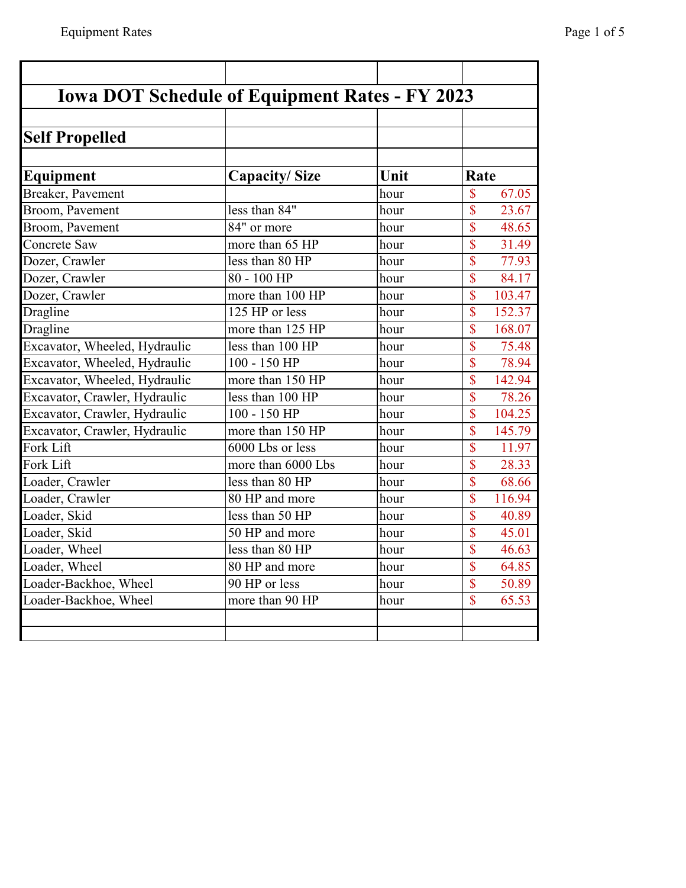| <b>Iowa DOT Schedule of Equipment Rates - FY 2023</b> |                      |      |                                   |
|-------------------------------------------------------|----------------------|------|-----------------------------------|
| <b>Self Propelled</b>                                 |                      |      |                                   |
|                                                       |                      |      |                                   |
| Equipment                                             | <b>Capacity/Size</b> | Unit | Rate                              |
| Breaker, Pavement                                     |                      | hour | $\sqrt{\frac{2}{\pi}}$<br>67.05   |
| Broom, Pavement                                       | less than 84"        | hour | $\overline{\mathbb{S}}$<br>23.67  |
| Broom, Pavement                                       | 84" or more          | hour | $\mathbf{\$\}$<br>48.65           |
| <b>Concrete Saw</b>                                   | more than 65 HP      | hour | $\overline{\mathbb{S}}$<br>31.49  |
| Dozer, Crawler                                        | less than 80 HP      | hour | $\overline{\mathbb{S}}$<br>77.93  |
| Dozer, Crawler                                        | 80 - 100 HP          | hour | $\overline{\mathbb{S}}$<br>84.17  |
| Dozer, Crawler                                        | more than 100 HP     | hour | \$<br>103.47                      |
| Dragline                                              | 125 HP or less       | hour | $\overline{\mathbb{S}}$<br>152.37 |
| Dragline                                              | more than 125 HP     | hour | \$<br>168.07                      |
| Excavator, Wheeled, Hydraulic                         | less than 100 HP     | hour | $\overline{\mathbb{S}}$<br>75.48  |
| Excavator, Wheeled, Hydraulic                         | $100 - 150$ HP       | hour | $\overline{\mathbb{S}}$<br>78.94  |
| Excavator, Wheeled, Hydraulic                         | more than 150 HP     | hour | \$<br>142.94                      |
| Excavator, Crawler, Hydraulic                         | less than 100 HP     | hour | $\overline{\mathbb{S}}$<br>78.26  |
| Excavator, Crawler, Hydraulic                         | 100 - 150 HP         | hour | $\overline{\mathbb{S}}$<br>104.25 |
| Excavator, Crawler, Hydraulic                         | more than 150 HP     | hour | $\overline{\mathbb{S}}$<br>145.79 |
| Fork Lift                                             | 6000 Lbs or less     | hour | $\overline{\mathbb{S}}$<br>11.97  |
| Fork Lift                                             | more than 6000 Lbs   | hour | $\overline{\mathbb{S}}$<br>28.33  |
| Loader, Crawler                                       | less than 80 HP      | hour | \$<br>68.66                       |
| Loader, Crawler                                       | 80 HP and more       | hour | $\overline{\mathbb{S}}$<br>116.94 |
| Loader, Skid                                          | less than 50 HP      | hour | $\overline{\mathbb{S}}$<br>40.89  |
| Loader, Skid                                          | 50 HP and more       | hour | $\overline{\mathbb{S}}$<br>45.01  |
| Loader, Wheel                                         | less than 80 HP      | hour | $\overline{\mathbb{S}}$<br>46.63  |
| Loader, Wheel                                         | 80 HP and more       | hour | $\overline{\mathbb{S}}$<br>64.85  |
| Loader-Backhoe, Wheel                                 | 90 HP or less        | hour | $\overline{\mathbb{S}}$<br>50.89  |
| Loader-Backhoe, Wheel                                 | more than 90 HP      | hour | $\overline{\mathbb{S}}$<br>65.53  |
|                                                       |                      |      |                                   |
|                                                       |                      |      |                                   |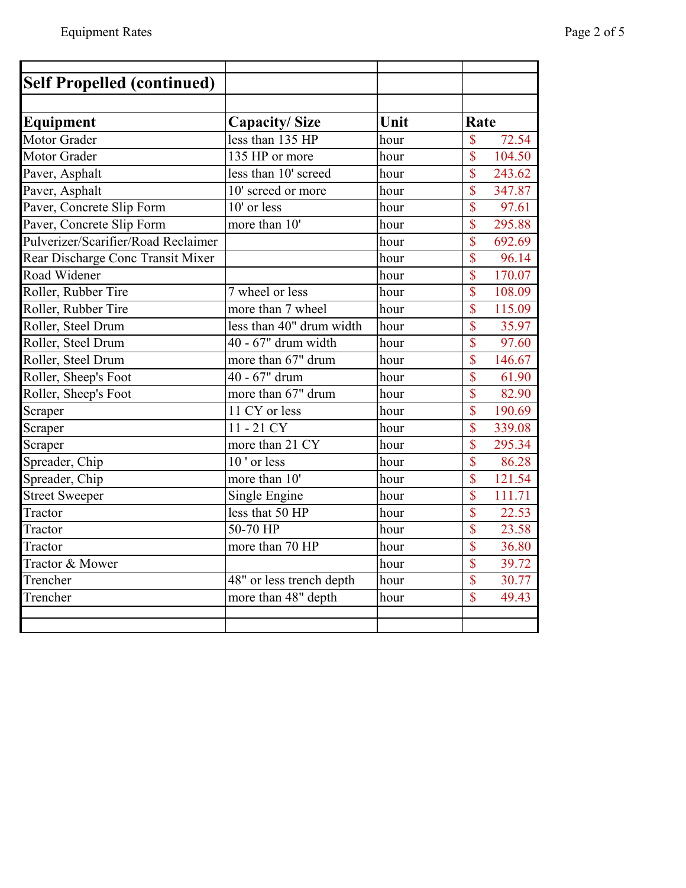| <b>Self Propelled (continued)</b>   |                          |      |                                    |
|-------------------------------------|--------------------------|------|------------------------------------|
|                                     |                          |      |                                    |
| Equipment                           | <b>Capacity/Size</b>     | Unit | Rate                               |
| Motor Grader                        | less than 135 HP         | hour | $\overline{\mathbb{S}}$<br>72.54   |
| Motor Grader                        | 135 HP or more           | hour | $\overline{\mathcal{S}}$<br>104.50 |
| Paver, Asphalt                      | less than 10' screed     | hour | $\overline{\mathbb{S}}$<br>243.62  |
| Paver, Asphalt                      | 10' screed or more       | hour | \$<br>347.87                       |
| Paver, Concrete Slip Form           | $10'$ or less            | hour | $\overline{\mathbb{S}}$<br>97.61   |
| Paver, Concrete Slip Form           | more than 10'            | hour | $\overline{\mathbb{S}}$<br>295.88  |
| Pulverizer/Scarifier/Road Reclaimer |                          | hour | $\overline{\mathbb{S}}$<br>692.69  |
| Rear Discharge Conc Transit Mixer   |                          | hour | $\overline{\mathbb{S}}$<br>96.14   |
| Road Widener                        |                          | hour | $\overline{\mathbb{S}}$<br>170.07  |
| Roller, Rubber Tire                 | 7 wheel or less          | hour | $\overline{\mathbb{S}}$<br>108.09  |
| Roller, Rubber Tire                 | more than 7 wheel        | hour | $\overline{\mathcal{S}}$<br>115.09 |
| Roller, Steel Drum                  | less than 40" drum width | hour | $\overline{\mathbb{S}}$<br>35.97   |
| Roller, Steel Drum                  | 40 - 67" drum width      | hour | $\overline{\mathbb{S}}$<br>97.60   |
| Roller, Steel Drum                  | more than 67" drum       | hour | \$<br>146.67                       |
| Roller, Sheep's Foot                | 40 - 67" drum            | hour | \$<br>61.90                        |
| Roller, Sheep's Foot                | more than 67" drum       | hour | $\overline{\mathbb{S}}$<br>82.90   |
| Scraper                             | 11 CY or less            | hour | \$<br>190.69                       |
| Scraper                             | $11 - 21$ CY             | hour | \$<br>339.08                       |
| Scraper                             | more than 21 CY          | hour | $\overline{\mathcal{S}}$<br>295.34 |
| Spreader, Chip                      | 10' or less              | hour | $\mathsf{\$}$<br>86.28             |
| Spreader, Chip                      | more than 10'            | hour | $\overline{\mathbb{S}}$<br>121.54  |
| Street Sweeper                      | Single Engine            | hour | \$<br>111.71                       |
| Tractor                             | less that 50 HP          | hour | \$<br>22.53                        |
| Tractor                             | 50-70 HP                 | hour | \$<br>23.58                        |
| Tractor                             | more than 70 HP          | hour | $\overline{\mathbb{S}}$<br>36.80   |
| Tractor & Mower                     |                          | hour | $\overline{\mathbb{S}}$<br>39.72   |
| Trencher                            | 48" or less trench depth | hour | \$<br>30.77                        |
| Trencher                            | more than 48" depth      | hour | \$<br>49.43                        |
|                                     |                          |      |                                    |
|                                     |                          |      |                                    |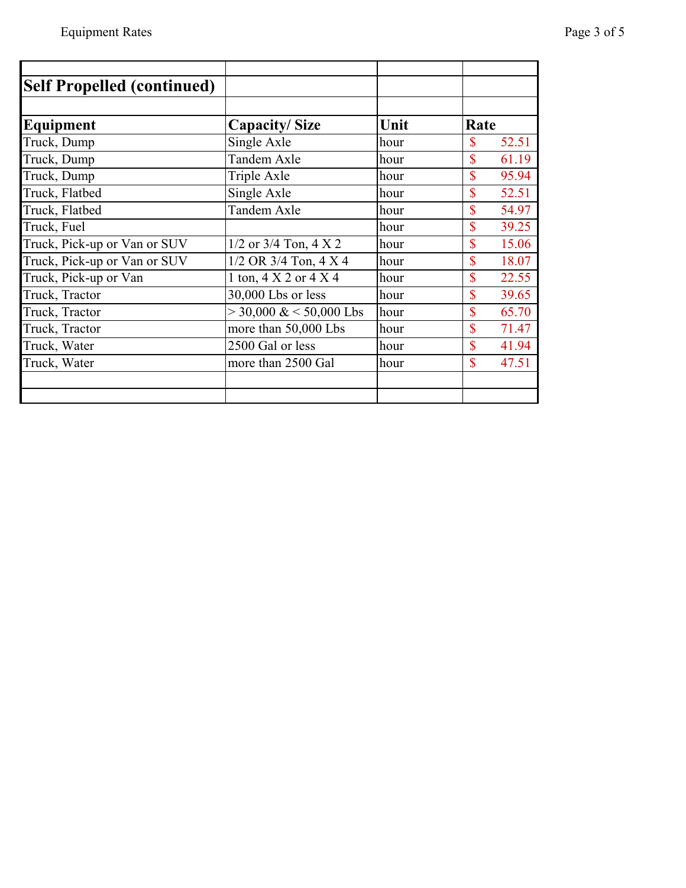| <b>Self Propelled (continued)</b> |                                     |      |                         |
|-----------------------------------|-------------------------------------|------|-------------------------|
|                                   |                                     |      |                         |
| Equipment                         | <b>Capacity/Size</b>                | Unit | Rate                    |
| Truck, Dump                       | Single Axle                         | hour | 52.51<br>\$             |
| Truck, Dump                       | Tandem Axle                         | hour | \$<br>61.19             |
| Truck, Dump                       | Triple Axle                         | hour | \$<br>95.94             |
| Truck, Flatbed                    | Single Axle                         | hour | \$<br>52.51             |
| Truck, Flatbed                    | Tandem Axle                         | hour | \$<br>54.97             |
| Truck, Fuel                       |                                     | hour | \$<br>39.25             |
| Truck, Pick-up or Van or SUV      | $1/2$ or $3/4$ Ton, $4 \times 2$    | hour | $\mathbf{\$\}$<br>15.06 |
| Truck, Pick-up or Van or SUV      | $1/2$ OR 3/4 Ton, 4 X 4             | hour | \$<br>18.07             |
| Truck, Pick-up or Van             | 1 ton, $4 \times 2$ or $4 \times 4$ | hour | \$<br>22.55             |
| Truck, Tractor                    | 30,000 Lbs or less                  | hour | \$<br>39.65             |
| Truck, Tractor                    | $>$ 30,000 & < 50,000 Lbs           | hour | \$<br>65.70             |
| Truck, Tractor                    | more than 50,000 Lbs                | hour | \$<br>71.47             |
| Truck, Water                      | 2500 Gal or less                    | hour | \$<br>41.94             |
| Truck, Water                      | more than 2500 Gal                  | hour | \$<br>47.51             |
|                                   |                                     |      |                         |
|                                   |                                     |      |                         |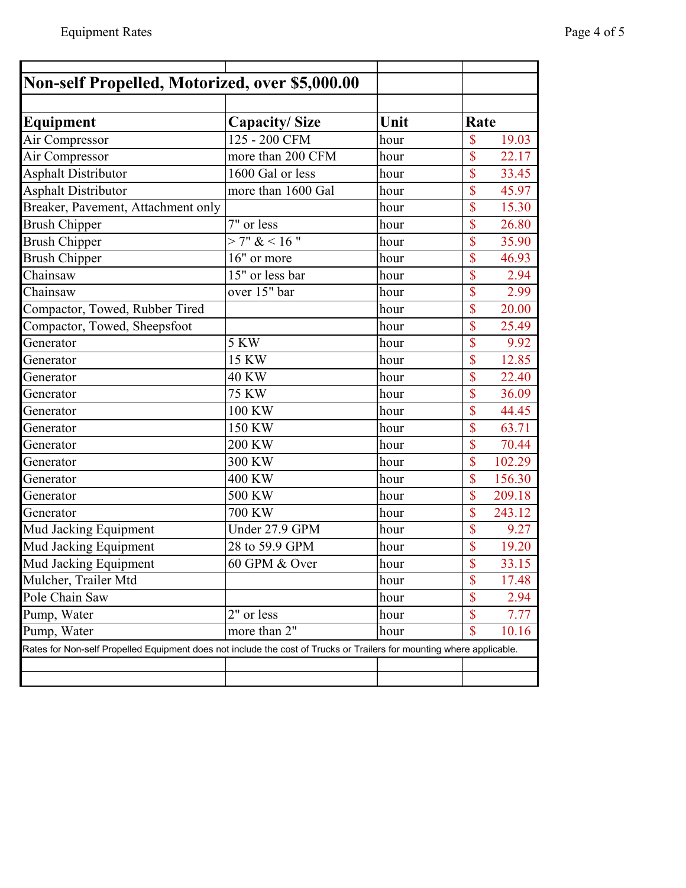| Non-self Propelled, Motorized, over \$5,000.00                                                                        |                      |      |                                   |
|-----------------------------------------------------------------------------------------------------------------------|----------------------|------|-----------------------------------|
|                                                                                                                       |                      |      |                                   |
| Equipment                                                                                                             | <b>Capacity/Size</b> | Unit | Rate                              |
| Air Compressor                                                                                                        | 125 - 200 CFM        | hour | \$<br>19.03                       |
| Air Compressor                                                                                                        | more than 200 CFM    | hour | \$<br>22.17                       |
| <b>Asphalt Distributor</b>                                                                                            | 1600 Gal or less     | hour | \$<br>33.45                       |
| <b>Asphalt Distributor</b>                                                                                            | more than 1600 Gal   | hour | \$<br>45.97                       |
| Breaker, Pavement, Attachment only                                                                                    |                      | hour | \$<br>15.30                       |
| <b>Brush Chipper</b>                                                                                                  | 7" or less           | hour | \$<br>26.80                       |
| <b>Brush Chipper</b>                                                                                                  | > 7" < 16"           | hour | \$<br>35.90                       |
| <b>Brush Chipper</b>                                                                                                  | 16" or more          | hour | \$<br>46.93                       |
| Chainsaw                                                                                                              | 15" or less bar      | hour | \$<br>2.94                        |
| Chainsaw                                                                                                              | over 15" bar         | hour | \$<br>2.99                        |
| Compactor, Towed, Rubber Tired                                                                                        |                      | hour | $\overline{\$}$<br>20.00          |
| Compactor, Towed, Sheepsfoot                                                                                          |                      | hour | \$<br>25.49                       |
| Generator                                                                                                             | <b>5 KW</b>          | hour | \$<br>9.92                        |
| Generator                                                                                                             | 15 KW                | hour | \$<br>12.85                       |
| Generator                                                                                                             | 40 KW                | hour | \$<br>22.40                       |
| Generator                                                                                                             | <b>75 KW</b>         | hour | $\overline{\mathbb{S}}$<br>36.09  |
| Generator                                                                                                             | 100 KW               | hour | $\overline{\mathcal{S}}$<br>44.45 |
| Generator                                                                                                             | 150 KW               | hour | \$<br>63.71                       |
| Generator                                                                                                             | 200 KW               | hour | \$<br>70.44                       |
| Generator                                                                                                             | 300 KW               | hour | \$<br>102.29                      |
| Generator                                                                                                             | 400 KW               | hour | \$<br>156.30                      |
| Generator                                                                                                             | 500 KW               | hour | \$<br>209.18                      |
| Generator                                                                                                             | $\overline{700}$ KW  | hour | $\overline{\mathbb{S}}$<br>243.12 |
| Mud Jacking Equipment                                                                                                 | Under 27.9 GPM       | hour | \$<br>9.27                        |
| Mud Jacking Equipment                                                                                                 | 28 to 59.9 GPM       | hour | \$<br>19.20                       |
| Mud Jacking Equipment                                                                                                 | 60 GPM & Over        | hour | \$<br>33.15                       |
| Mulcher, Trailer Mtd                                                                                                  |                      | hour | \$<br>17.48                       |
| Pole Chain Saw                                                                                                        |                      | hour | \$<br>2.94                        |
| Pump, Water                                                                                                           | 2" or less           | hour | \$<br>7.77                        |
| Pump, Water                                                                                                           | more than 2"         | hour | \$<br>10.16                       |
| Rates for Non-self Propelled Equipment does not include the cost of Trucks or Trailers for mounting where applicable. |                      |      |                                   |
|                                                                                                                       |                      |      |                                   |
|                                                                                                                       |                      |      |                                   |